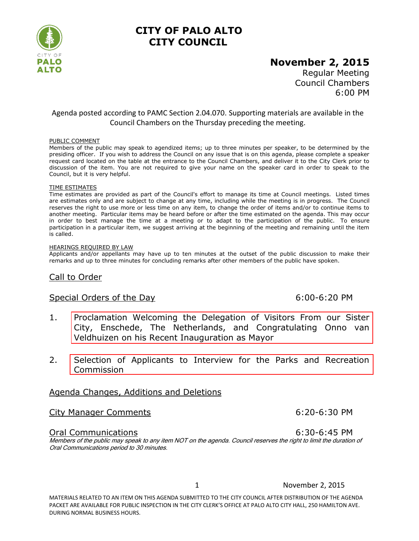

# **CITY OF PALO ALTO CITY COUNCIL**

# **November 2, 2015**

Regular Meeting Council Chambers 6:00 PM

### Agenda posted according to PAMC Section 2.04.070. Supporting materials are available in the Council Chambers on the Thursday preceding the meeting.

#### PUBLIC COMMENT

Members of the public may speak to agendized items; up to three minutes per speaker, to be determined by the presiding officer. If you wish to address the Council on any issue that is on this agenda, please complete a speaker request card located on the table at the entrance to the Council Chambers, and deliver it to the City Clerk prior to discussion of the item. You are not required to give your name on the speaker card in order to speak to the Council, but it is very helpful.

#### TIME ESTIMATES

Time estimates are provided as part of the Council's effort to manage its time at Council meetings. Listed times are estimates only and are subject to change at any time, including while the meeting is in progress. The Council reserves the right to use more or less time on any item, to change the order of items and/or to continue items to another meeting. Particular items may be heard before or after the time estimated on the agenda. This may occur in order to best manage the time at a meeting or to adapt to the participation of the public. To ensure participation in a particular item, we suggest arriving at the beginning of the meeting and remaining until the item is called.

#### HEARINGS REQUIRED BY LAW

Applicants and/or appellants may have up to ten minutes at the outset of the public discussion to make their remarks and up to three minutes for concluding remarks after other members of the public have spoken.

### Call to Order

#### Special Orders of the Day 6:00-6:20 PM

- 1. [Proclamation Welcoming the Delegation of Visitors From our Sister](http://www.cityofpaloalto.org/civicax/filebank/blobdload.aspx?BlobID=49668)  City, Enschede, The Netherlands, and Congratulating Onno van Veldhuizen on his Recent Inauguration as Mayor
- 2. [Selection of Applicants to Interview for the Parks and Recreation](http://www.cityofpaloalto.org/civicax/filebank/blobdload.aspx?BlobID=49577)  Commission

### Agenda Changes, Additions and Deletions

### City Manager Comments 6:20-6:30 PM

#### Oral Communications 6:30-6:45 PM

Members of the public may speak to any item NOT on the agenda. Council reserves the right to limit the duration of Oral Communications period to 30 minutes.

1 November 2, 2015

MATERIALS RELATED TO AN ITEM ON THIS AGENDA SUBMITTED TO THE CITY COUNCIL AFTER DISTRIBUTION OF THE AGENDA PACKET ARE AVAILABLE FOR PUBLIC INSPECTION IN THE CITY CLERK'S OFFICE AT PALO ALTO CITY HALL, 250 HAMILTON AVE. DURING NORMAL BUSINESS HOURS.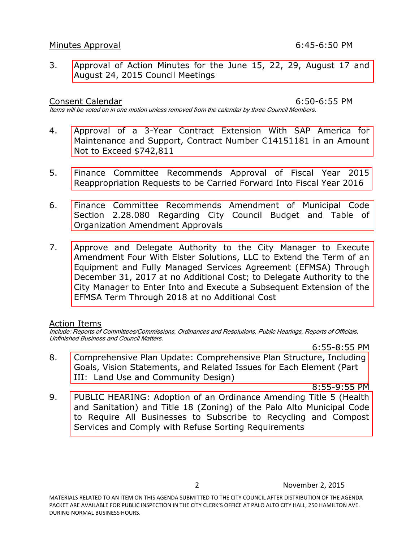#### Minutes Approval **Minutes** Approval

3. [Approval of Action Minutes for the June 15, 22, 29, August 17 and](http://www.cityofpaloalto.org/civicax/filebank/blobdload.aspx?BlobID=49550)  August 24, 2015 Council Meetings

Consent Calendar 6:50-6:55 PM Items will be voted on in one motion unless removed from the calendar by three Council Members.

- 4. [Approval of a 3-Year Contract Extension With SAP America for](http://www.cityofpaloalto.org/civicax/filebank/blobdload.aspx?BlobID=49581)  Maintenance and Support, Contract Number C14151181 in an Amount Not to Exceed \$742,811
- 5. [Finance Committee Recommends Approval of Fiscal Year 2015](http://www.cityofpaloalto.org/civicax/filebank/blobdload.aspx?BlobID=49568)  Reappropriation Requests to be Carried Forward Into Fiscal Year 2016
- 6. Finance Committee Recommends Amendment of Municipal Code [Section 2.28.080 Regarding City Council Budget and Table of](http://www.cityofpaloalto.org/civicax/filebank/blobdload.aspx?BlobID=49571)  Organization Amendment Approvals
- 7. Approve and Delegate Authority to the City Manager to Execute Amendment Four With Elster Solutions, LLC to Extend the Term of an [Equipment and Fully Managed Services Agreement \(EFMSA\) Through](http://www.cityofpaloalto.org/civicax/filebank/blobdload.aspx?BlobID=49575)  December 31, 2017 at no Additional Cost; to Delegate Authority to the City Manager to Enter Into and Execute a Subsequent Extension of the EFMSA Term Through 2018 at no Additional Cost

### Action Items

Include: Reports of Committees/Commissions, Ordinances and Resolutions, Public Hearings, Reports of Officials, Unfinished Business and Council Matters.

6:55-8:55 PM

8. [Comprehensive Plan Update: Comprehensive Plan Structure, Including](http://www.cityofpaloalto.org/civicax/filebank/blobdload.aspx?BlobID=49573)  Goals, Vision Statements, and Related Issues for Each Element (Part III: Land Use and Community Design)

8:55-9:55 PM

9. [PUBLIC HEARING: Adoption of an Ordinance Amending Title 5 \(Health](http://www.cityofpaloalto.org/civicax/filebank/blobdload.aspx?BlobID=49570)  and Sanitation) and Title 18 (Zoning) of the Palo Alto Municipal Code to Require All Businesses to Subscribe to Recycling and Compost Services and Comply with Refuse Sorting Requirements

2 November 2, 2015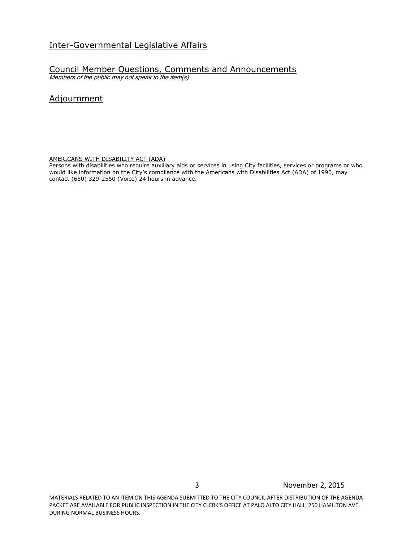## Inter-Governmental Legislative Affairs

## Council Member Questions, Comments and Announcements

Members of the public may not speak to the item(s)

# Adjournment

AMERICANS WITH DISABILITY ACT (ADA)

Persons with disabilities who require auxiliary aids or services in using City facilities, services or programs or who would like information on the City's compliance with the Americans with Disabilities Act (ADA) of 1990, may contact (650) 329-2550 (Voice) 24 hours in advance.

MATERIALS RELATED TO AN ITEM ON THIS AGENDA SUBMITTED TO THE CITY COUNCIL AFTER DISTRIBUTION OF THE AGENDA PACKET ARE AVAILABLE FOR PUBLIC INSPECTION IN THE CITY CLERK'S OFFICE AT PALO ALTO CITY HALL, 250 HAMILTON AVE. DURING NORMAL BUSINESS HOURS.